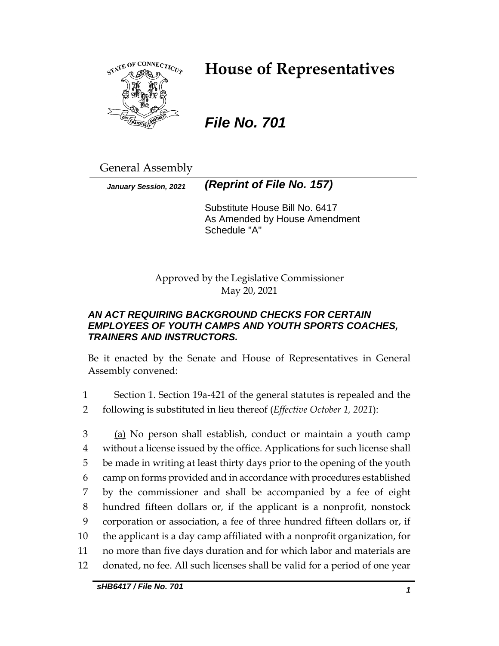

# **House of Representatives**

# *File No. 701*

General Assembly

*January Session, 2021 (Reprint of File No. 157)*

Substitute House Bill No. 6417 As Amended by House Amendment Schedule "A"

Approved by the Legislative Commissioner May 20, 2021

## *AN ACT REQUIRING BACKGROUND CHECKS FOR CERTAIN EMPLOYEES OF YOUTH CAMPS AND YOUTH SPORTS COACHES, TRAINERS AND INSTRUCTORS.*

Be it enacted by the Senate and House of Representatives in General Assembly convened:

1 Section 1. Section 19a-421 of the general statutes is repealed and the 2 following is substituted in lieu thereof (*Effective October 1, 2021*):

3 (a) No person shall establish, conduct or maintain a youth camp without a license issued by the office. Applications for such license shall be made in writing at least thirty days prior to the opening of the youth camp on forms provided and in accordance with procedures established by the commissioner and shall be accompanied by a fee of eight hundred fifteen dollars or, if the applicant is a nonprofit, nonstock corporation or association, a fee of three hundred fifteen dollars or, if the applicant is a day camp affiliated with a nonprofit organization, for no more than five days duration and for which labor and materials are donated, no fee. All such licenses shall be valid for a period of one year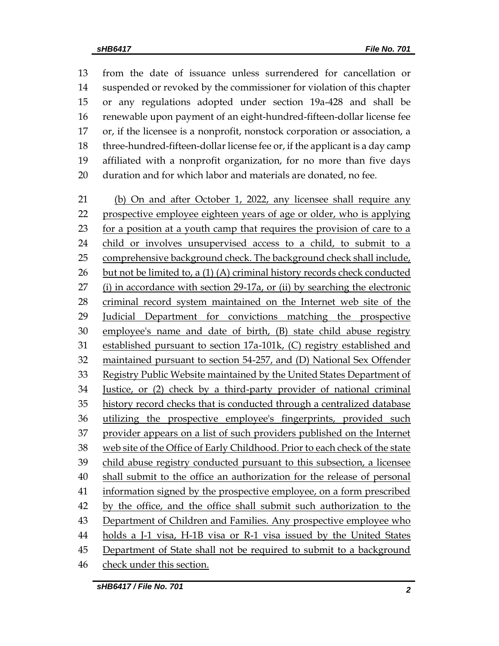from the date of issuance unless surrendered for cancellation or suspended or revoked by the commissioner for violation of this chapter or any regulations adopted under section 19a-428 and shall be renewable upon payment of an eight-hundred-fifteen-dollar license fee or, if the licensee is a nonprofit, nonstock corporation or association, a three-hundred-fifteen-dollar license fee or, if the applicant is a day camp affiliated with a nonprofit organization, for no more than five days duration and for which labor and materials are donated, no fee. (b) On and after October 1, 2022, any licensee shall require any prospective employee eighteen years of age or older, who is applying for a position at a youth camp that requires the provision of care to a

 child or involves unsupervised access to a child, to submit to a comprehensive background check. The background check shall include, but not be limited to, a (1) (A) criminal history records check conducted (i) in accordance with section 29-17a, or (ii) by searching the electronic criminal record system maintained on the Internet web site of the Judicial Department for convictions matching the prospective employee's name and date of birth, (B) state child abuse registry established pursuant to section 17a-101k, (C) registry established and maintained pursuant to section 54-257, and (D) National Sex Offender Registry Public Website maintained by the United States Department of Justice, or (2) check by a third-party provider of national criminal history record checks that is conducted through a centralized database utilizing the prospective employee's fingerprints, provided such provider appears on a list of such providers published on the Internet web site of the Office of Early Childhood. Prior to each check of the state child abuse registry conducted pursuant to this subsection, a licensee shall submit to the office an authorization for the release of personal information signed by the prospective employee, on a form prescribed 42 by the office, and the office shall submit such authorization to the Department of Children and Families. Any prospective employee who holds a J-1 visa, H-1B visa or R-1 visa issued by the United States Department of State shall not be required to submit to a background

check under this section.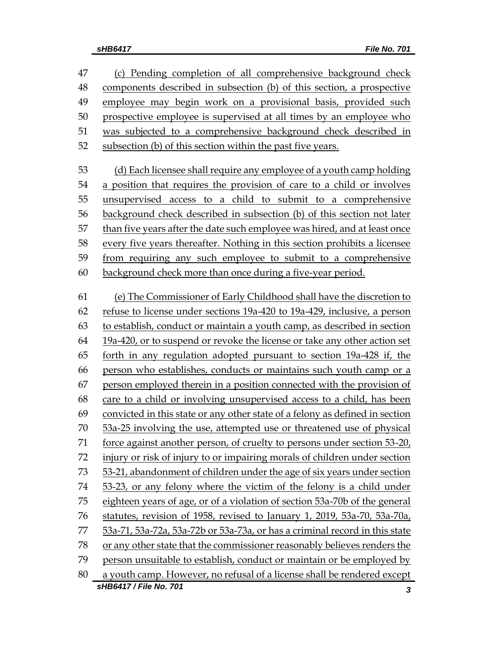| 47 | (c) Pending completion of all comprehensive background check                 |
|----|------------------------------------------------------------------------------|
| 48 | components described in subsection (b) of this section, a prospective        |
| 49 | employee may begin work on a provisional basis, provided such                |
| 50 | prospective employee is supervised at all times by an employee who           |
| 51 | was subjected to a comprehensive background check described in               |
| 52 | subsection (b) of this section within the past five years.                   |
| 53 | (d) Each licensee shall require any employee of a youth camp holding         |
| 54 | a position that requires the provision of care to a child or involves        |
| 55 | unsupervised access to a child to submit to a comprehensive                  |
| 56 | background check described in subsection (b) of this section not later       |
| 57 | than five years after the date such employee was hired, and at least once    |
| 58 | every five years thereafter. Nothing in this section prohibits a licensee    |
| 59 | from requiring any such employee to submit to a comprehensive                |
| 60 | background check more than once during a five-year period.                   |
| 61 | (e) The Commissioner of Early Childhood shall have the discretion to         |
| 62 | refuse to license under sections 19a-420 to 19a-429, inclusive, a person     |
| 63 | to establish, conduct or maintain a youth camp, as described in section      |
| 64 | 19a-420, or to suspend or revoke the license or take any other action set    |
| 65 | forth in any regulation adopted pursuant to section 19a-428 if, the          |
| 66 | person who establishes, conducts or maintains such youth camp or a           |
| 67 | person employed therein in a position connected with the provision of        |
| 68 | care to a child or involving unsupervised access to a child, has been        |
| 69 | convicted in this state or any other state of a felony as defined in section |
| 70 | 53a-25 involving the use, attempted use or threatened use of physical        |
| 71 | force against another person, of cruelty to persons under section 53-20,     |
| 72 | injury or risk of injury to or impairing morals of children under section    |
| 73 | 53-21, abandonment of children under the age of six years under section      |
| 74 | 53-23, or any felony where the victim of the felony is a child under         |
| 75 | eighteen years of age, or of a violation of section 53a-70b of the general   |
| 76 | statutes, revision of 1958, revised to January 1, 2019, 53a-70, 53a-70a,     |
| 77 | 53a-71, 53a-72a, 53a-72b or 53a-73a, or has a criminal record in this state  |
| 78 | or any other state that the commissioner reasonably believes renders the     |
| 79 | person unsuitable to establish, conduct or maintain or be employed by        |
| 80 | a youth camp. However, no refusal of a license shall be rendered except      |
|    | sHB6417 / File No. 701<br>3                                                  |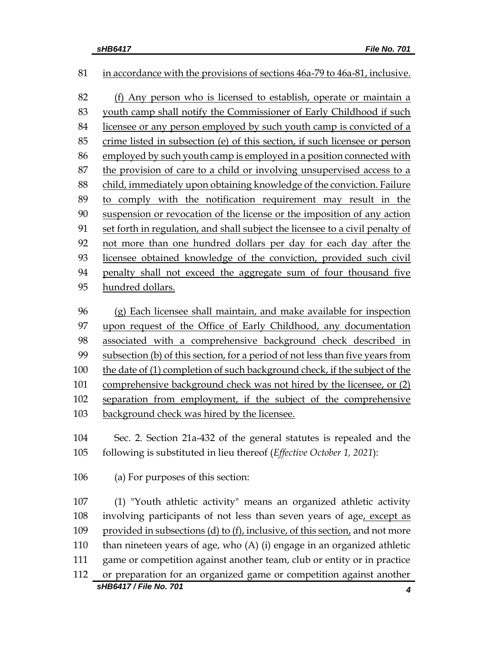## in accordance with the provisions of sections 46a-79 to 46a-81, inclusive.

 (f) Any person who is licensed to establish, operate or maintain a youth camp shall notify the Commissioner of Early Childhood if such licensee or any person employed by such youth camp is convicted of a crime listed in subsection (e) of this section, if such licensee or person employed by such youth camp is employed in a position connected with the provision of care to a child or involving unsupervised access to a 88 child, immediately upon obtaining knowledge of the conviction. Failure to comply with the notification requirement may result in the suspension or revocation of the license or the imposition of any action set forth in regulation, and shall subject the licensee to a civil penalty of not more than one hundred dollars per day for each day after the licensee obtained knowledge of the conviction, provided such civil penalty shall not exceed the aggregate sum of four thousand five hundred dollars.

 (g) Each licensee shall maintain, and make available for inspection upon request of the Office of Early Childhood, any documentation associated with a comprehensive background check described in subsection (b) of this section, for a period of not less than five years from the date of (1) completion of such background check, if the subject of the comprehensive background check was not hired by the licensee, or (2) separation from employment, if the subject of the comprehensive 103 background check was hired by the licensee.

 Sec. 2. Section 21a-432 of the general statutes is repealed and the following is substituted in lieu thereof (*Effective October 1, 2021*):

(a) For purposes of this section:

*sHB6417 / File No. 701 4* (1) "Youth athletic activity" means an organized athletic activity involving participants of not less than seven years of age, except as provided in subsections (d) to (f), inclusive, of this section, and not more than nineteen years of age, who (A) (i) engage in an organized athletic game or competition against another team, club or entity or in practice or preparation for an organized game or competition against another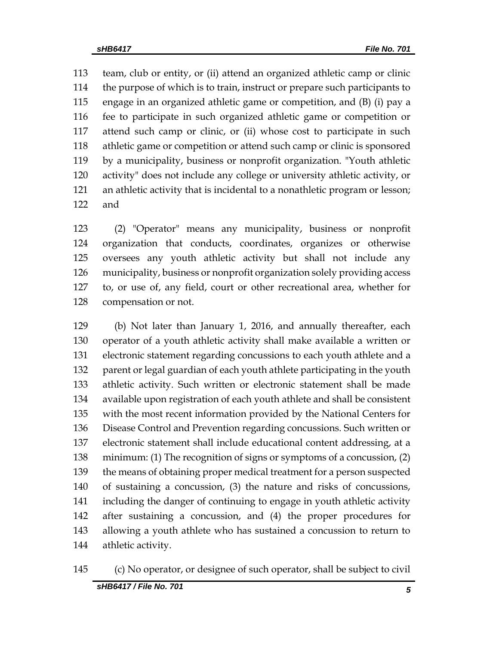team, club or entity, or (ii) attend an organized athletic camp or clinic the purpose of which is to train, instruct or prepare such participants to engage in an organized athletic game or competition, and (B) (i) pay a fee to participate in such organized athletic game or competition or attend such camp or clinic, or (ii) whose cost to participate in such athletic game or competition or attend such camp or clinic is sponsored by a municipality, business or nonprofit organization. "Youth athletic activity" does not include any college or university athletic activity, or an athletic activity that is incidental to a nonathletic program or lesson; and

 (2) "Operator" means any municipality, business or nonprofit organization that conducts, coordinates, organizes or otherwise oversees any youth athletic activity but shall not include any municipality, business or nonprofit organization solely providing access to, or use of, any field, court or other recreational area, whether for compensation or not.

 (b) Not later than January 1, 2016, and annually thereafter, each operator of a youth athletic activity shall make available a written or electronic statement regarding concussions to each youth athlete and a 132 parent or legal guardian of each youth athlete participating in the youth athletic activity. Such written or electronic statement shall be made available upon registration of each youth athlete and shall be consistent with the most recent information provided by the National Centers for Disease Control and Prevention regarding concussions. Such written or electronic statement shall include educational content addressing, at a minimum: (1) The recognition of signs or symptoms of a concussion, (2) the means of obtaining proper medical treatment for a person suspected of sustaining a concussion, (3) the nature and risks of concussions, including the danger of continuing to engage in youth athletic activity after sustaining a concussion, and (4) the proper procedures for allowing a youth athlete who has sustained a concussion to return to athletic activity.

#### (c) No operator, or designee of such operator, shall be subject to civil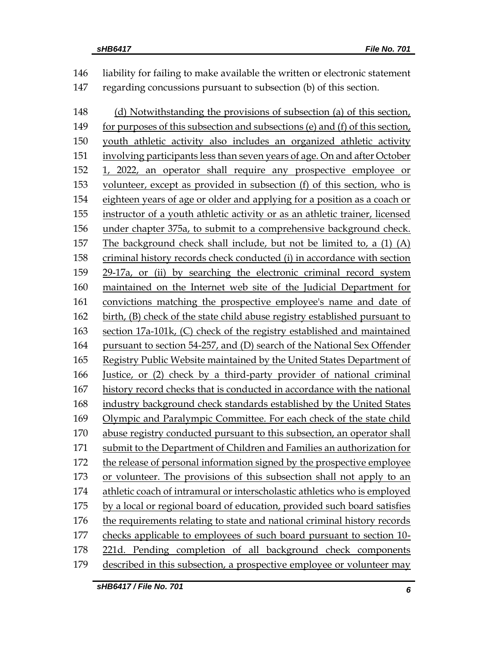| 146 | liability for failing to make available the written or electronic statement  |
|-----|------------------------------------------------------------------------------|
| 147 | regarding concussions pursuant to subsection (b) of this section.            |
| 148 | (d) Notwithstanding the provisions of subsection (a) of this section,        |
| 149 | for purposes of this subsection and subsections (e) and (f) of this section, |
| 150 | youth athletic activity also includes an organized athletic activity         |
| 151 | involving participants less than seven years of age. On and after October    |
| 152 | 1, 2022, an operator shall require any prospective employee or               |
| 153 | volunteer, except as provided in subsection (f) of this section, who is      |
| 154 | eighteen years of age or older and applying for a position as a coach or     |
| 155 | instructor of a youth athletic activity or as an athletic trainer, licensed  |
| 156 | under chapter 375a, to submit to a comprehensive background check.           |
| 157 | The background check shall include, but not be limited to, a (1) (A)         |
| 158 | criminal history records check conducted (i) in accordance with section      |
| 159 | 29-17a, or (ii) by searching the electronic criminal record system           |
| 160 | maintained on the Internet web site of the Judicial Department for           |
| 161 | convictions matching the prospective employee's name and date of             |
| 162 | birth, (B) check of the state child abuse registry established pursuant to   |
| 163 | section 17a-101k, (C) check of the registry established and maintained       |
| 164 | pursuant to section 54-257, and (D) search of the National Sex Offender      |
| 165 | Registry Public Website maintained by the United States Department of        |
| 166 | Justice, or (2) check by a third-party provider of national criminal         |
| 167 | history record checks that is conducted in accordance with the national      |
| 168 | industry background check standards established by the United States         |
| 169 | Olympic and Paralympic Committee. For each check of the state child          |
| 170 | abuse registry conducted pursuant to this subsection, an operator shall      |
| 171 | submit to the Department of Children and Families an authorization for       |
| 172 | the release of personal information signed by the prospective employee       |
| 173 | or volunteer. The provisions of this subsection shall not apply to an        |
| 174 | athletic coach of intramural or interscholastic athletics who is employed    |
| 175 | by a local or regional board of education, provided such board satisfies     |
| 176 | the requirements relating to state and national criminal history records     |
| 177 | checks applicable to employees of such board pursuant to section 10-         |
| 178 | 221d. Pending completion of all background check components                  |
| 179 | described in this subsection, a prospective employee or volunteer may        |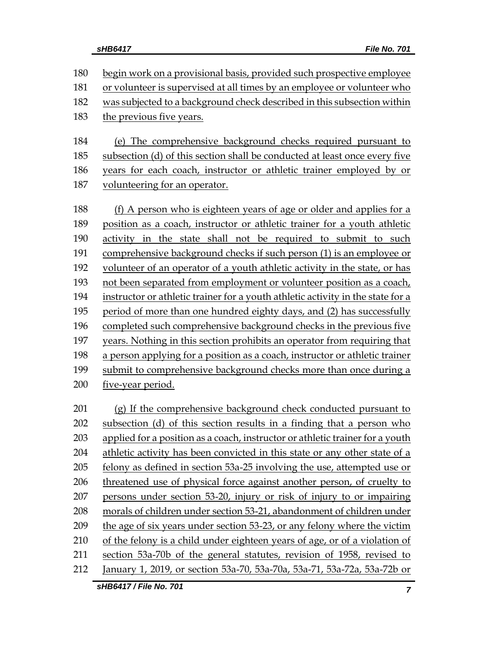begin work on a provisional basis, provided such prospective employee or volunteer is supervised at all times by an employee or volunteer who was subjected to a background check described in this subsection within the previous five years. (e) The comprehensive background checks required pursuant to subsection (d) of this section shall be conducted at least once every five years for each coach, instructor or athletic trainer employed by or volunteering for an operator.

 (f) A person who is eighteen years of age or older and applies for a position as a coach, instructor or athletic trainer for a youth athletic activity in the state shall not be required to submit to such comprehensive background checks if such person (1) is an employee or volunteer of an operator of a youth athletic activity in the state, or has not been separated from employment or volunteer position as a coach, instructor or athletic trainer for a youth athletic activity in the state for a period of more than one hundred eighty days, and (2) has successfully completed such comprehensive background checks in the previous five years. Nothing in this section prohibits an operator from requiring that a person applying for a position as a coach, instructor or athletic trainer submit to comprehensive background checks more than once during a five-year period.

 (g) If the comprehensive background check conducted pursuant to subsection (d) of this section results in a finding that a person who applied for a position as a coach, instructor or athletic trainer for a youth athletic activity has been convicted in this state or any other state of a felony as defined in section 53a-25 involving the use, attempted use or threatened use of physical force against another person, of cruelty to persons under section 53-20, injury or risk of injury to or impairing morals of children under section 53-21, abandonment of children under the age of six years under section 53-23, or any felony where the victim of the felony is a child under eighteen years of age, or of a violation of section 53a-70b of the general statutes, revision of 1958, revised to January 1, 2019, or section 53a-70, 53a-70a, 53a-71, 53a-72a, 53a-72b or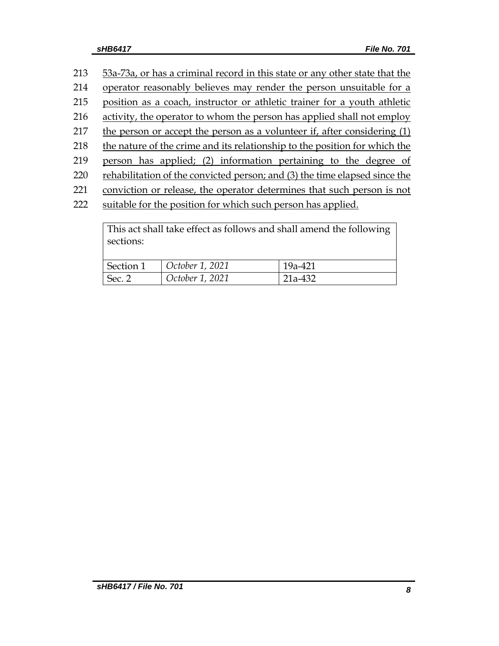| 213 | 53a-73a, or has a criminal record in this state or any other state that the |
|-----|-----------------------------------------------------------------------------|
| 214 | operator reasonably believes may render the person unsuitable for a         |
| 215 | position as a coach, instructor or athletic trainer for a youth athletic    |
| 216 | activity, the operator to whom the person has applied shall not employ      |
| 217 | the person or accept the person as a volunteer if, after considering (1)    |
| 218 | the nature of the crime and its relationship to the position for which the  |
| 219 | person has applied; (2) information pertaining to the degree of             |
| 220 | rehabilitation of the convicted person; and (3) the time elapsed since the  |
| 221 | conviction or release, the operator determines that such person is not      |
| 222 | suitable for the position for which such person has applied.                |
|     |                                                                             |

| sections: | This act shall take effect as follows and shall amend the following |         |
|-----------|---------------------------------------------------------------------|---------|
| Section 1 | October 1, 2021                                                     | 19a-421 |
| Sec. 2    | October 1, 2021                                                     | 21a-432 |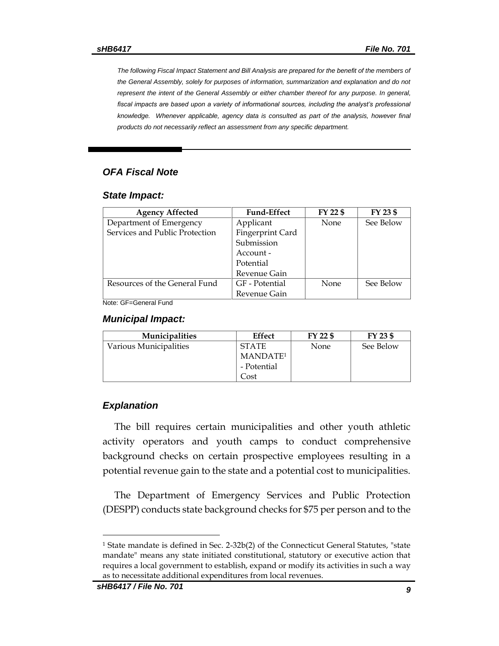*The following Fiscal Impact Statement and Bill Analysis are prepared for the benefit of the members of the General Assembly, solely for purposes of information, summarization and explanation and do not represent the intent of the General Assembly or either chamber thereof for any purpose. In general,*  fiscal impacts are based upon a variety of informational sources, including the analyst's professional *knowledge. Whenever applicable, agency data is consulted as part of the analysis, however final products do not necessarily reflect an assessment from any specific department.*

### *OFA Fiscal Note*

#### *State Impact:*

| <b>Agency Affected</b>         | <b>Fund-Effect</b> | FY 22 \$ | FY 23 \$  |
|--------------------------------|--------------------|----------|-----------|
| Department of Emergency        | Applicant          | None     | See Below |
| Services and Public Protection | Fingerprint Card   |          |           |
|                                | Submission         |          |           |
|                                | Account -          |          |           |
|                                | Potential          |          |           |
|                                | Revenue Gain       |          |           |
| Resources of the General Fund  | GF - Potential     | None     | See Below |
|                                | Revenue Gain       |          |           |

Note: GF=General Fund

#### *Municipal Impact:*

| <b>Municipalities</b>  | Effect               | FY 22 \$    | FY 23 \$  |
|------------------------|----------------------|-------------|-----------|
| Various Municipalities | <b>STATE</b>         | <b>None</b> | See Below |
|                        | MANDATE <sup>1</sup> |             |           |
|                        | - Potential          |             |           |
|                        | Cost                 |             |           |

#### *Explanation*

The bill requires certain municipalities and other youth athletic activity operators and youth camps to conduct comprehensive background checks on certain prospective employees resulting in a potential revenue gain to the state and a potential cost to municipalities.

The Department of Emergency Services and Public Protection (DESPP) conducts state background checks for \$75 per person and to the

 $\overline{a}$ 

<sup>1</sup> State mandate is defined in Sec. 2-32b(2) of the Connecticut General Statutes, "state mandate" means any state initiated constitutional, statutory or executive action that requires a local government to establish, expand or modify its activities in such a way as to necessitate additional expenditures from local revenues.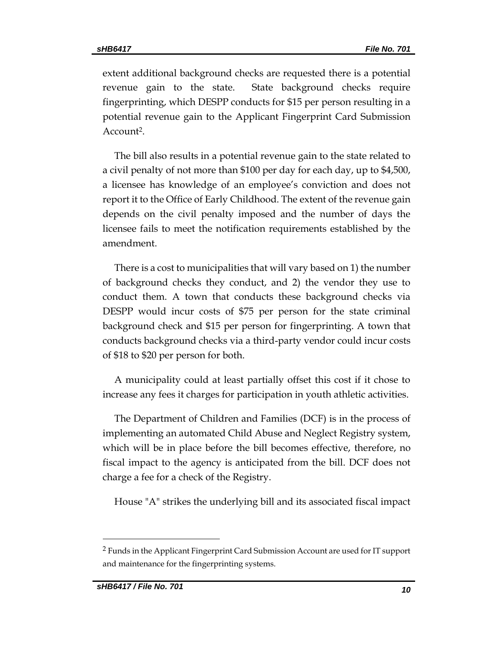extent additional background checks are requested there is a potential revenue gain to the state. State background checks require fingerprinting, which DESPP conducts for \$15 per person resulting in a potential revenue gain to the Applicant Fingerprint Card Submission Account<sup>2</sup>.

The bill also results in a potential revenue gain to the state related to a civil penalty of not more than \$100 per day for each day, up to \$4,500, a licensee has knowledge of an employee's conviction and does not report it to the Office of Early Childhood. The extent of the revenue gain depends on the civil penalty imposed and the number of days the licensee fails to meet the notification requirements established by the amendment.

There is a cost to municipalities that will vary based on 1) the number of background checks they conduct, and 2) the vendor they use to conduct them. A town that conducts these background checks via DESPP would incur costs of \$75 per person for the state criminal background check and \$15 per person for fingerprinting. A town that conducts background checks via a third-party vendor could incur costs of \$18 to \$20 per person for both.

A municipality could at least partially offset this cost if it chose to increase any fees it charges for participation in youth athletic activities.

The Department of Children and Families (DCF) is in the process of implementing an automated Child Abuse and Neglect Registry system, which will be in place before the bill becomes effective, therefore, no fiscal impact to the agency is anticipated from the bill. DCF does not charge a fee for a check of the Registry.

House "A" strikes the underlying bill and its associated fiscal impact

 $\overline{a}$ 

<sup>2</sup> Funds in the Applicant Fingerprint Card Submission Account are used for IT support and maintenance for the fingerprinting systems.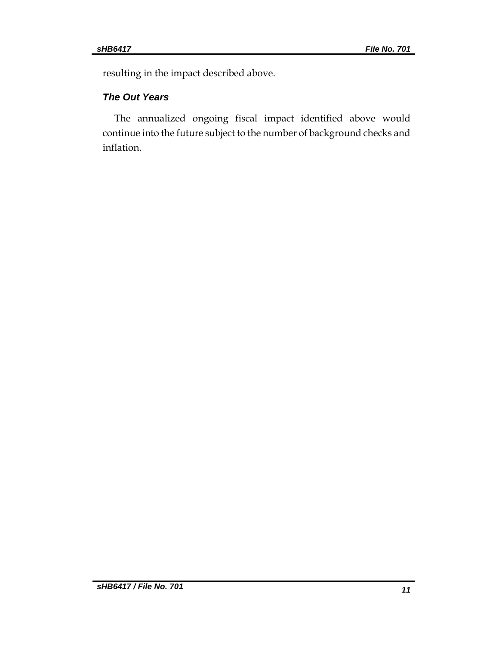resulting in the impact described above.

## *The Out Years*

The annualized ongoing fiscal impact identified above would continue into the future subject to the number of background checks and inflation.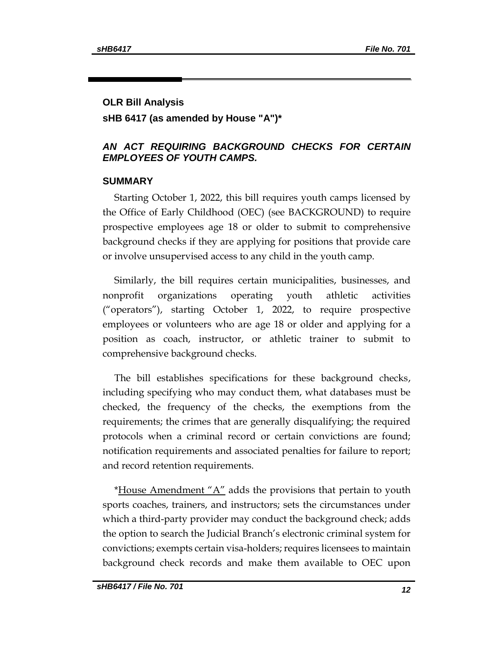## **OLR Bill Analysis**

## **sHB 6417 (as amended by House "A")\***

## *AN ACT REQUIRING BACKGROUND CHECKS FOR CERTAIN EMPLOYEES OF YOUTH CAMPS.*

## **SUMMARY**

Starting October 1, 2022, this bill requires youth camps licensed by the Office of Early Childhood (OEC) (see BACKGROUND) to require prospective employees age 18 or older to submit to comprehensive background checks if they are applying for positions that provide care or involve unsupervised access to any child in the youth camp.

Similarly, the bill requires certain municipalities, businesses, and nonprofit organizations operating youth athletic activities ("operators"), starting October 1, 2022, to require prospective employees or volunteers who are age 18 or older and applying for a position as coach, instructor, or athletic trainer to submit to comprehensive background checks.

The bill establishes specifications for these background checks, including specifying who may conduct them, what databases must be checked, the frequency of the checks, the exemptions from the requirements; the crimes that are generally disqualifying; the required protocols when a criminal record or certain convictions are found; notification requirements and associated penalties for failure to report; and record retention requirements.

\*House Amendment " $A$ " adds the provisions that pertain to youth sports coaches, trainers, and instructors; sets the circumstances under which a third-party provider may conduct the background check; adds the option to search the Judicial Branch's electronic criminal system for convictions; exempts certain visa-holders; requires licensees to maintain background check records and make them available to OEC upon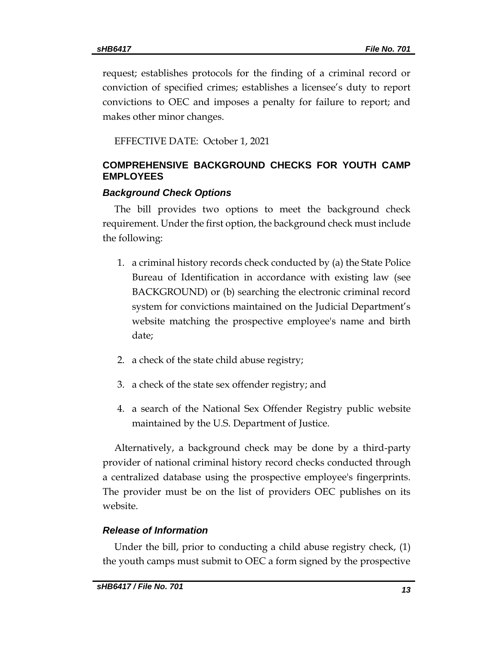request; establishes protocols for the finding of a criminal record or conviction of specified crimes; establishes a licensee's duty to report convictions to OEC and imposes a penalty for failure to report; and makes other minor changes.

EFFECTIVE DATE: October 1, 2021

## **COMPREHENSIVE BACKGROUND CHECKS FOR YOUTH CAMP EMPLOYEES**

### *Background Check Options*

The bill provides two options to meet the background check requirement. Under the first option, the background check must include the following:

- 1. a criminal history records check conducted by (a) the State Police Bureau of Identification in accordance with existing law (see BACKGROUND) or (b) searching the electronic criminal record system for convictions maintained on the Judicial Department's website matching the prospective employee's name and birth date;
- 2. a check of the state child abuse registry;
- 3. a check of the state sex offender registry; and
- 4. a search of the National Sex Offender Registry public website maintained by the U.S. Department of Justice.

Alternatively, a background check may be done by a third-party provider of national criminal history record checks conducted through a centralized database using the prospective employee's fingerprints. The provider must be on the list of providers OEC publishes on its website.

## *Release of Information*

Under the bill, prior to conducting a child abuse registry check, (1) the youth camps must submit to OEC a form signed by the prospective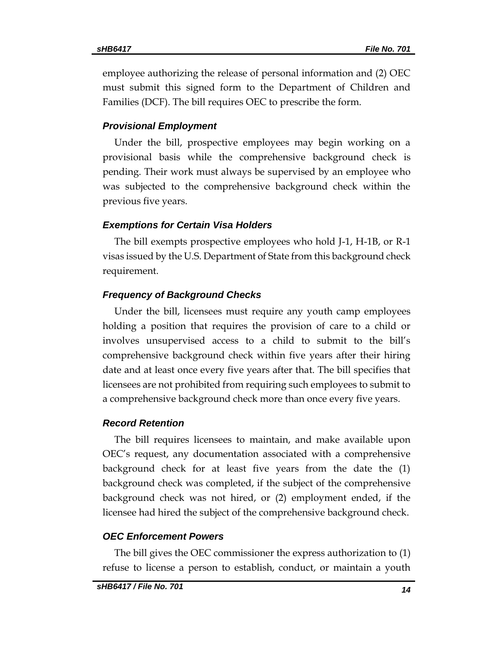employee authorizing the release of personal information and (2) OEC must submit this signed form to the Department of Children and Families (DCF). The bill requires OEC to prescribe the form.

#### *Provisional Employment*

Under the bill, prospective employees may begin working on a provisional basis while the comprehensive background check is pending. Their work must always be supervised by an employee who was subjected to the comprehensive background check within the previous five years.

### *Exemptions for Certain Visa Holders*

The bill exempts prospective employees who hold J-1, H-1B, or R-1 visas issued by the U.S. Department of State from this background check requirement.

### *Frequency of Background Checks*

Under the bill, licensees must require any youth camp employees holding a position that requires the provision of care to a child or involves unsupervised access to a child to submit to the bill's comprehensive background check within five years after their hiring date and at least once every five years after that. The bill specifies that licensees are not prohibited from requiring such employees to submit to a comprehensive background check more than once every five years.

#### *Record Retention*

The bill requires licensees to maintain, and make available upon OEC's request, any documentation associated with a comprehensive background check for at least five years from the date the (1) background check was completed, if the subject of the comprehensive background check was not hired, or (2) employment ended, if the licensee had hired the subject of the comprehensive background check.

#### *OEC Enforcement Powers*

The bill gives the OEC commissioner the express authorization to (1) refuse to license a person to establish, conduct, or maintain a youth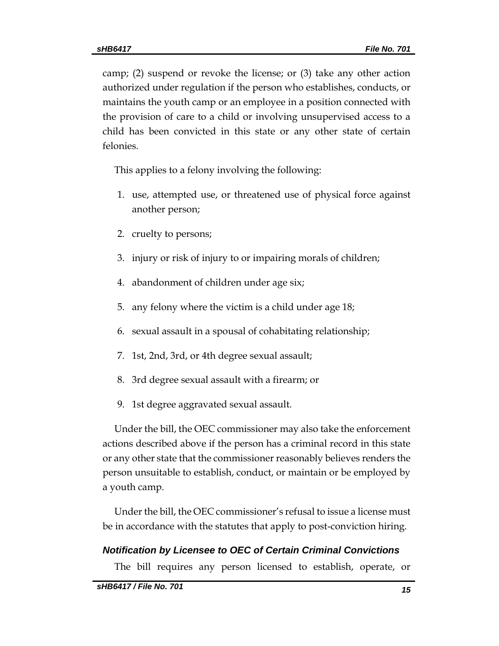camp; (2) suspend or revoke the license; or (3) take any other action authorized under regulation if the person who establishes, conducts, or maintains the youth camp or an employee in a position connected with the provision of care to a child or involving unsupervised access to a child has been convicted in this state or any other state of certain felonies.

This applies to a felony involving the following:

- 1. use, attempted use, or threatened use of physical force against another person;
- 2. cruelty to persons;
- 3. injury or risk of injury to or impairing morals of children;
- 4. abandonment of children under age six;
- 5. any felony where the victim is a child under age 18;
- 6. sexual assault in a spousal of cohabitating relationship;
- 7. 1st, 2nd, 3rd, or 4th degree sexual assault;
- 8. 3rd degree sexual assault with a firearm; or
- 9. 1st degree aggravated sexual assault.

Under the bill, the OEC commissioner may also take the enforcement actions described above if the person has a criminal record in this state or any other state that the commissioner reasonably believes renders the person unsuitable to establish, conduct, or maintain or be employed by a youth camp.

Under the bill, the OEC commissioner's refusal to issue a license must be in accordance with the statutes that apply to post-conviction hiring.

## *Notification by Licensee to OEC of Certain Criminal Convictions*

The bill requires any person licensed to establish, operate, or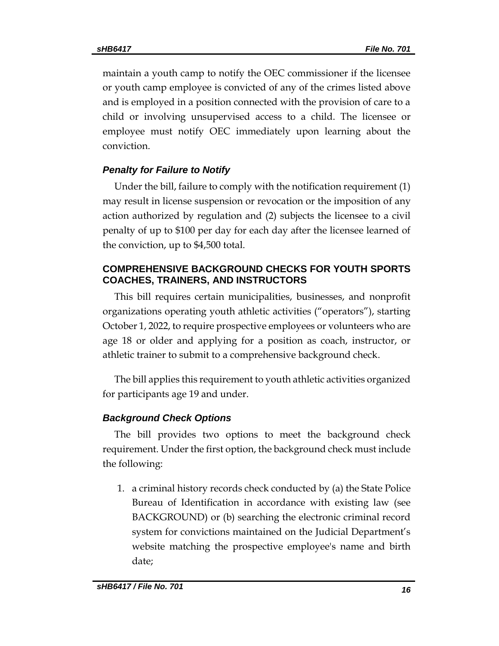maintain a youth camp to notify the OEC commissioner if the licensee or youth camp employee is convicted of any of the crimes listed above and is employed in a position connected with the provision of care to a child or involving unsupervised access to a child. The licensee or employee must notify OEC immediately upon learning about the conviction.

## *Penalty for Failure to Notify*

Under the bill, failure to comply with the notification requirement (1) may result in license suspension or revocation or the imposition of any action authorized by regulation and (2) subjects the licensee to a civil penalty of up to \$100 per day for each day after the licensee learned of the conviction, up to \$4,500 total.

## **COMPREHENSIVE BACKGROUND CHECKS FOR YOUTH SPORTS COACHES, TRAINERS, AND INSTRUCTORS**

This bill requires certain municipalities, businesses, and nonprofit organizations operating youth athletic activities ("operators"), starting October 1, 2022, to require prospective employees or volunteers who are age 18 or older and applying for a position as coach, instructor, or athletic trainer to submit to a comprehensive background check.

The bill applies this requirement to youth athletic activities organized for participants age 19 and under.

## *Background Check Options*

The bill provides two options to meet the background check requirement. Under the first option, the background check must include the following:

1. a criminal history records check conducted by (a) the State Police Bureau of Identification in accordance with existing law (see BACKGROUND) or (b) searching the electronic criminal record system for convictions maintained on the Judicial Department's website matching the prospective employee's name and birth date;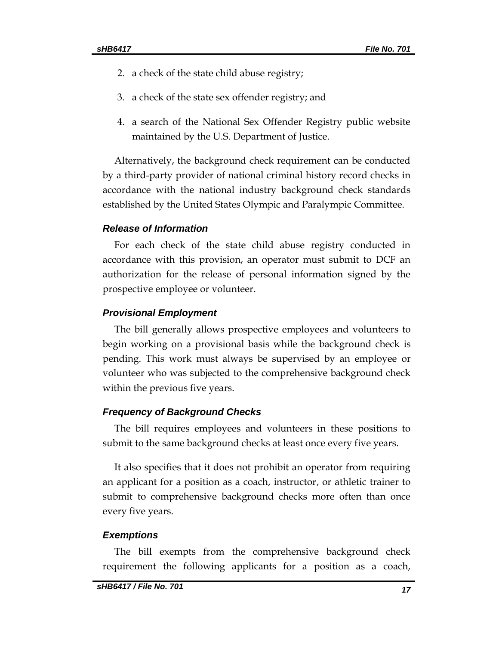- 2. a check of the state child abuse registry;
- 3. a check of the state sex offender registry; and
- 4. a search of the National Sex Offender Registry public website maintained by the U.S. Department of Justice.

Alternatively, the background check requirement can be conducted by a third-party provider of national criminal history record checks in accordance with the national industry background check standards established by the United States Olympic and Paralympic Committee.

## *Release of Information*

For each check of the state child abuse registry conducted in accordance with this provision, an operator must submit to DCF an authorization for the release of personal information signed by the prospective employee or volunteer.

#### *Provisional Employment*

The bill generally allows prospective employees and volunteers to begin working on a provisional basis while the background check is pending. This work must always be supervised by an employee or volunteer who was subjected to the comprehensive background check within the previous five years.

#### *Frequency of Background Checks*

The bill requires employees and volunteers in these positions to submit to the same background checks at least once every five years.

It also specifies that it does not prohibit an operator from requiring an applicant for a position as a coach, instructor, or athletic trainer to submit to comprehensive background checks more often than once every five years.

#### *Exemptions*

The bill exempts from the comprehensive background check requirement the following applicants for a position as a coach,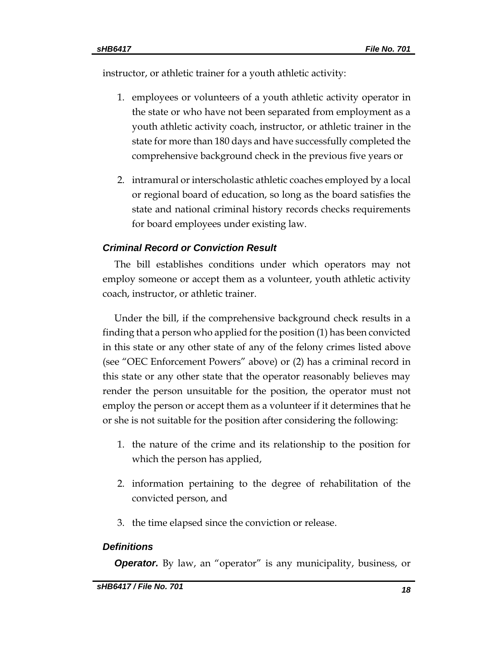instructor, or athletic trainer for a youth athletic activity:

- 1. employees or volunteers of a youth athletic activity operator in the state or who have not been separated from employment as a youth athletic activity coach, instructor, or athletic trainer in the state for more than 180 days and have successfully completed the comprehensive background check in the previous five years or
- 2. intramural or interscholastic athletic coaches employed by a local or regional board of education, so long as the board satisfies the state and national criminal history records checks requirements for board employees under existing law.

## *Criminal Record or Conviction Result*

The bill establishes conditions under which operators may not employ someone or accept them as a volunteer, youth athletic activity coach, instructor, or athletic trainer.

Under the bill, if the comprehensive background check results in a finding that a person who applied for the position (1) has been convicted in this state or any other state of any of the felony crimes listed above (see "OEC Enforcement Powers" above) or (2) has a criminal record in this state or any other state that the operator reasonably believes may render the person unsuitable for the position, the operator must not employ the person or accept them as a volunteer if it determines that he or she is not suitable for the position after considering the following:

- 1. the nature of the crime and its relationship to the position for which the person has applied,
- 2. information pertaining to the degree of rehabilitation of the convicted person, and
- 3. the time elapsed since the conviction or release.

## *Definitions*

**Operator.** By law, an "operator" is any municipality, business, or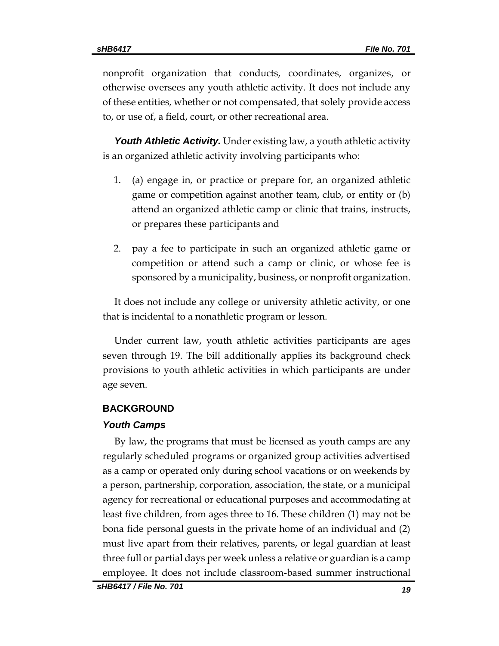nonprofit organization that conducts, coordinates, organizes, or otherwise oversees any youth athletic activity. It does not include any of these entities, whether or not compensated, that solely provide access to, or use of, a field, court, or other recreational area.

*Youth Athletic Activity.* Under existing law, a youth athletic activity is an organized athletic activity involving participants who:

- 1. (a) engage in, or practice or prepare for, an organized athletic game or competition against another team, club, or entity or (b) attend an organized athletic camp or clinic that trains, instructs, or prepares these participants and
- 2. pay a fee to participate in such an organized athletic game or competition or attend such a camp or clinic, or whose fee is sponsored by a municipality, business, or nonprofit organization.

It does not include any college or university athletic activity, or one that is incidental to a nonathletic program or lesson.

Under current law, youth athletic activities participants are ages seven through 19. The bill additionally applies its background check provisions to youth athletic activities in which participants are under age seven.

#### **BACKGROUND**

#### *Youth Camps*

By law, the programs that must be licensed as youth camps are any regularly scheduled programs or organized group activities advertised as a camp or operated only during school vacations or on weekends by a person, partnership, corporation, association, the state, or a municipal agency for recreational or educational purposes and accommodating at least five children, from ages three to 16. These children (1) may not be bona fide personal guests in the private home of an individual and (2) must live apart from their relatives, parents, or legal guardian at least three full or partial days per week unless a relative or guardian is a camp employee. It does not include classroom-based summer instructional